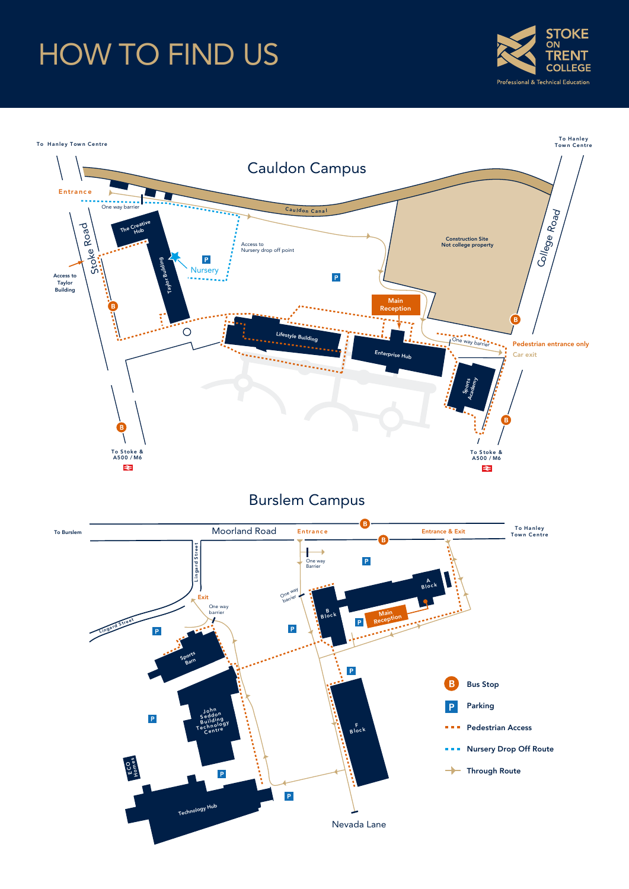# HOW TO FIND US



To Hanley Town Centre To Hanley<br>Town Centre Cauldon Campus Entra nc e  $One <sub>w</sub>$ College Road Cauldon Canal Stoke Road The Creative Hub Construction Site Not college property Access to Nursery drop off point  $\overline{P}$ Building Access to  $\overline{V}$ <br>
Taylor<br>Building  $\overline{V}$   $\overline{V}$   $\overline{V}$   $\overline{V}$   $\overline{V}$   $\overline{V}$   $\overline{V}$   $\overline{V}$   $\overline{V}$   $\overline{V}$   $\overline{V}$   $\overline{V}$   $\overline{V}$   $\overline{V}$   $\overline{V}$   $\overline{V}$   $\overline{V}$   $\overline{V}$   $\overline{V}$   $\overline{V}$   $\overline{V$  $\mathsf P$ Taylor Main B Reception B  $\circ$ Lifestyle Building One way barrier Pedestrian entrance only Car exit e H<sub>ub</sub> .<br>Tanahiran Academy<br>Academy Sports B B To S toke & A500 / M6 To S toke & A500 / M6  $\Rightarrow$ ≉

### Burslem Campus